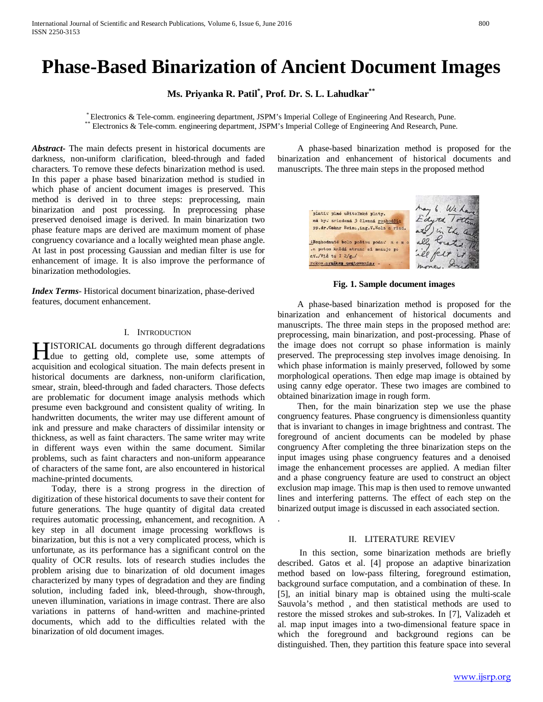# **Phase-Based Binarization of Ancient Document Images**

**Ms. Priyanka R. Patil\* , Prof. Dr. S. L. Lahudkar\*\***

\* Electronics & Tele-comm. engineering department, JSPM's Imperial College of Engineering And Research, Pune.<br>\*\* Electronics & Tele-comm. engineering department, JSPM's Imperial College of Engineering And Research, Pune.

.

*Abstract***-** The main defects present in historical documents are darkness, non-uniform clarification, bleed-through and faded characters. To remove these defects binarization method is used. In this paper a phase based binarization method is studied in which phase of ancient document images is preserved. This method is derived in to three steps: preprocessing, main binarization and post processing. In preprocessing phase preserved denoised image is derived. In main binarization two phase feature maps are derived are maximum moment of phase congruency covariance and a locally weighted mean phase angle. At last in post processing Gaussian and median filter is use for enhancement of image. It is also improve the performance of binarization methodologies.

*Index Terms*- Historical document binarization, phase-derived features, document enhancement.

#### I. INTRODUCTION

ISTORICAL documents go through different degradations **HISTORICAL** documents go through different degradations due to getting old, complete use, some attempts of acquisition and ecological situation. The main defects present in historical documents are darkness, non-uniform clarification, smear, strain, bleed-through and faded characters. Those defects are problematic for document image analysis methods which presume even background and consistent quality of writing. In handwritten documents, the writer may use different amount of ink and pressure and make characters of dissimilar intensity or thickness, as well as faint characters. The same writer may write in different ways even within the same document. Similar problems, such as faint characters and non-uniform appearance of characters of the same font, are also encountered in historical machine-printed documents.

 Today, there is a strong progress in the direction of digitization of these historical documents to save their content for future generations. The huge quantity of digital data created requires automatic processing, enhancement, and recognition. A key step in all document image processing workflows is binarization, but this is not a very complicated process, which is unfortunate, as its performance has a significant control on the quality of OCR results. lots of research studies includes the problem arising due to binarization of old document images characterized by many types of degradation and they are finding solution, including faded ink, bleed-through, show-through, uneven illumination, variations in image contrast. There are also variations in patterns of hand-written and machine-printed documents, which add to the difficulties related with the binarization of old document images.

 A phase-based binarization method is proposed for the binarization and enhancement of historical documents and manuscripts. The three main steps in the proposed method



#### **Fig. 1. Sample document images**

 A phase-based binarization method is proposed for the binarization and enhancement of historical documents and manuscripts. The three main steps in the proposed method are: preprocessing, main binarization, and post-processing. Phase of the image does not corrupt so phase information is mainly preserved. The preprocessing step involves image denoising. In which phase information is mainly preserved, followed by some morphological operations. Then edge map image is obtained by using canny edge operator. These two images are combined to obtained binarization image in rough form.

 Then, for the main binarization step we use the phase congruency features. Phase congruency is dimensionless quantity that is invariant to changes in image brightness and contrast. The foreground of ancient documents can be modeled by phase congruency After completing the three binarization steps on the input images using phase congruency features and a denoised image the enhancement processes are applied. A median filter and a phase congruency feature are used to construct an object exclusion map image. This map is then used to remove unwanted lines and interfering patterns. The effect of each step on the binarized output image is discussed in each associated section.

#### II. LITERATURE REVIEV

 In this section, some binarization methods are briefly described. Gatos et al. [4] propose an adaptive binarization method based on low-pass filtering, foreground estimation, background surface computation, and a combination of these. In [5], an initial binary map is obtained using the multi-scale Sauvola's method , and then statistical methods are used to restore the missed strokes and sub-strokes. In [7], Valizadeh et al. map input images into a two-dimensional feature space in which the foreground and background regions can be distinguished. Then, they partition this feature space into several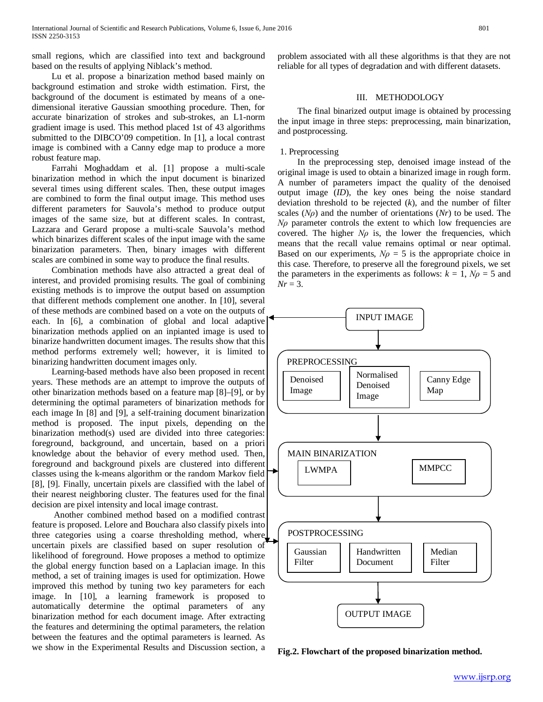small regions, which are classified into text and background based on the results of applying Niblack's method.

 Lu et al. propose a binarization method based mainly on background estimation and stroke width estimation. First, the background of the document is estimated by means of a onedimensional iterative Gaussian smoothing procedure. Then, for accurate binarization of strokes and sub-strokes, an L1-norm gradient image is used. This method placed 1st of 43 algorithms submitted to the DIBCO'09 competition. In [1], a local contrast image is combined with a Canny edge map to produce a more robust feature map.

 Farrahi Moghaddam et al. [1] propose a multi-scale binarization method in which the input document is binarized several times using different scales. Then, these output images are combined to form the final output image. This method uses different parameters for Sauvola's method to produce output images of the same size, but at different scales. In contrast, Lazzara and Gerard propose a multi-scale Sauvola's method which binarizes different scales of the input image with the same binarization parameters. Then, binary images with different scales are combined in some way to produce the final results.

 Combination methods have also attracted a great deal of interest, and provided promising results. The goal of combining existing methods is to improve the output based on assumption that different methods complement one another. In [10], several of these methods are combined based on a vote on the outputs of each. In [6], a combination of global and local adaptive binarization methods applied on an inpianted image is used to binarize handwritten document images. The results show that this method performs extremely well; however, it is limited to binarizing handwritten document images only.

 Learning-based methods have also been proposed in recent years. These methods are an attempt to improve the outputs of other binarization methods based on a feature map [8]–[9], or by determining the optimal parameters of binarization methods for each image In [8] and [9], a self-training document binarization method is proposed. The input pixels, depending on the binarization method(s) used are divided into three categories: foreground, background, and uncertain, based on a priori knowledge about the behavior of every method used. Then, foreground and background pixels are clustered into different classes using the k-means algorithm or the random Markov field [8], [9]. Finally, uncertain pixels are classified with the label of their nearest neighboring cluster. The features used for the final decision are pixel intensity and local image contrast.

 Another combined method based on a modified contrast feature is proposed. Lelore and Bouchara also classify pixels into three categories using a coarse thresholding method, where uncertain pixels are classified based on super resolution of likelihood of foreground. Howe proposes a method to optimize the global energy function based on a Laplacian image. In this method, a set of training images is used for optimization. Howe improved this method by tuning two key parameters for each image. In [10], a learning framework is proposed to automatically determine the optimal parameters of any binarization method for each document image. After extracting the features and determining the optimal parameters, the relation between the features and the optimal parameters is learned. As we show in the Experimental Results and Discussion section, a

problem associated with all these algorithms is that they are not reliable for all types of degradation and with different datasets.

## III. METHODOLOGY

 The final binarized output image is obtained by processing the input image in three steps: preprocessing, main binarization, and postprocessing.

#### 1. Preprocessing

 In the preprocessing step, denoised image instead of the original image is used to obtain a binarized image in rough form. A number of parameters impact the quality of the denoised output image (*ID*), the key ones being the noise standard deviation threshold to be rejected (*k*), and the number of filter scales (*Nρ*) and the number of orientations (*Nr*) to be used. The *Nρ* parameter controls the extent to which low frequencies are covered. The higher  $N\rho$  is, the lower the frequencies, which means that the recall value remains optimal or near optimal. Based on our experiments,  $N\rho = 5$  is the appropriate choice in this case. Therefore, to preserve all the foreground pixels, we set the parameters in the experiments as follows:  $k = 1$ ,  $N\rho = 5$  and  $Nr = 3$ .



**Fig.2. Flowchart of the proposed binarization method.**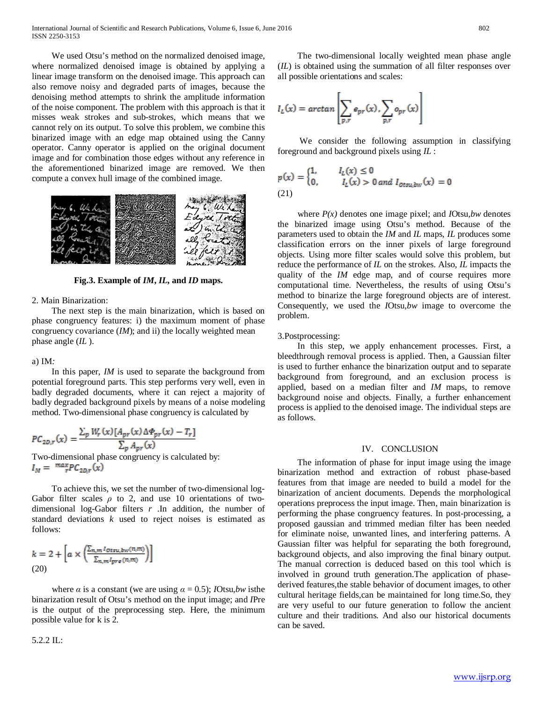We used Otsu's method on the normalized denoised image, where normalized denoised image is obtained by applying a linear image transform on the denoised image. This approach can also remove noisy and degraded parts of images, because the denoising method attempts to shrink the amplitude information of the noise component. The problem with this approach is that it misses weak strokes and sub-strokes, which means that we cannot rely on its output. To solve this problem, we combine this binarized image with an edge map obtained using the Canny operator. Canny operator is applied on the original document image and for combination those edges without any reference in the aforementioned binarized image are removed. We then compute a convex hull image of the combined image.



**Fig.3. Example of** *IM***,** *IL***, and** *ID* **maps.**

#### 2. Main Binarization:

 The next step is the main binarization, which is based on phase congruency features: i) the maximum moment of phase congruency covariance (*IM*); and ii) the locally weighted mean phase angle (*IL* ).

#### a) IM*:*

 In this paper, *IM* is used to separate the background from potential foreground parts. This step performs very well, even in badly degraded documents, where it can reject a majority of badly degraded background pixels by means of a noise modeling method. Two-dimensional phase congruency is calculated by

$$
PC_{2D,r}(x) = \frac{\sum_{p} W_r(x) [A_{pr}(x) \Delta \Phi_{pr}(x) - T_r]}{\sum_{p} A_{pr}(x)}
$$
  
Two-dimensional phase congruency is calculated by:

 $I_M = {max_{r}PC_{2D,r}(x)}$ 

 To achieve this, we set the number of two-dimensional log-Gabor filter scales  $\rho$  to 2, and use 10 orientations of twodimensional log-Gabor filters *r* .In addition, the number of standard deviations *k* used to reject noises is estimated as follows:

$$
k = 2 + \left[ a \times \left( \frac{\sum_{n,m} I_{Otxu, bw}(n, m)}{\sum_{n,m} I_{pre}(n, m)} \right) \right]
$$
  
(20)

where  $\alpha$  is a constant (we are using  $\alpha = 0.5$ ); *I*Otsu,*bw* is the binarization result of Otsu's method on the input image; and *I*Pre is the output of the preprocessing step. Here, the minimum possible value for k is 2.

5.2.2 IL:

 The two-dimensional locally weighted mean phase angle (*IL*) is obtained using the summation of all filter responses over all possible orientations and scales:

$$
I_L(x) = \arctan\left[\sum_{p,r} e_{pr}(x), \sum_{p,r} o_{pr}(x)\right]
$$

 We consider the following assumption in classifying foreground and background pixels using *IL* :

$$
p(x) = \begin{cases} 1, & I_L(x) \le 0 \\ 0, & I_L(x) > 0 \text{ and } I_{0\text{trivial}}(x) = 0 \end{cases}
$$
  
(21)

 where *P(x)* denotes one image pixel; and *I*Otsu*,bw* denotes the binarized image using Otsu's method. Because of the parameters used to obtain the *IM* and *IL* maps, *IL* produces some classification errors on the inner pixels of large foreground objects. Using more filter scales would solve this problem, but reduce the performance of *IL* on the strokes. Also, *IL* impacts the quality of the *IM* edge map, and of course requires more computational time. Nevertheless, the results of using Otsu's method to binarize the large foreground objects are of interest. Consequently, we used the *I*Otsu*,bw* image to overcome the problem.

#### 3.Postprocessing:

 In this step, we apply enhancement processes. First, a bleedthrough removal process is applied. Then, a Gaussian filter is used to further enhance the binarization output and to separate background from foreground, and an exclusion process is applied, based on a median filter and *IM* maps, to remove background noise and objects. Finally, a further enhancement process is applied to the denoised image. The individual steps are as follows.

### IV. CONCLUSION

 The information of phase for input image using the image binarization method and extraction of robust phase-based features from that image are needed to build a model for the binarization of ancient documents. Depends the morphological operations preprocess the input image. Then, main binarization is performing the phase congruency features. In post-processing, a proposed gaussian and trimmed median filter has been needed for eliminate noise, unwanted lines, and interfering patterns. A Gaussian filter was helpful for separating the both foreground, background objects, and also improving the final binary output. The manual correction is deduced based on this tool which is involved in ground truth generation.The application of phasederived features,the stable behavior of document images, to other cultural heritage fields,can be maintained for long time.So, they are very useful to our future generation to follow the ancient culture and their traditions. And also our historical documents can be saved.